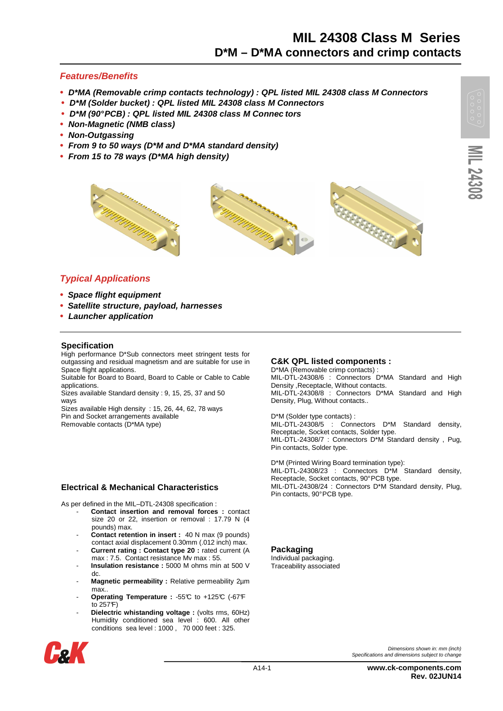### **Features/Benefits**

- **D\*MA (Removable crimp contacts technology) : QPL listed MIL 24308 class M Connectors**
- **D\*M (Solder bucket) : QPL listed MIL 24308 class M Connectors**
- **D\*M (90° PCB) : QPL listed MIL 24308 class M Connec tors**
- **Non-Magnetic (NMB class)**
- **Non-Outgassing**
- **From 9 to 50 ways (D\*M and D\*MA standard density)**
- **From 15 to 78 ways (D\*MA high density)**



### **Typical Applications**

- **• Space flight equipment**
- **• Satellite structure, payload, harnesses**
- **Launcher application**

#### **Specification**

High performance D\*Sub connectors meet stringent tests for outgassing and residual magnetism and are suitable for use in Space flight applications.

Suitable for Board to Board, Board to Cable or Cable to Cable applications.

Sizes available Standard density : 9, 15, 25, 37 and 50 ways

Sizes available High density : 15, 26, 44, 62, 78 ways Pin and Socket arrangements available

Removable contacts (D\*MA type)

#### **Electrical & Mechanical Characteristics**

As per defined in the MIL–DTL-24308 specification :

- Contact insertion and removal forces : contact size 20 or 22, insertion or removal : 17.79 N (4 pounds) max.
- **Contact retention in insert :** 40 N max (9 pounds) contact axial displacement 0.30mm (.012 inch) max.
- Current rating : Contact type 20 : rated current (A max : 7.5. Contact resistance Mv max : 55.
- Insulation resistance : 5000 M ohms min at 500 V dc.
- Magnetic permeability : Relative permeability 2µm max..
- **Operating Temperature :** -55°C to +125°C (-67°F to 257°F)
- Dielectric whistanding voltage : (volts rms, 60Hz) Humidity conditioned sea level : 600. All other conditions sea level : 1000 , 70 000 feet : 325.



#### **C&K QPL listed components :**

D\*MA (Removable crimp contacts) MIL-DTL-24308/6 : Connectors D<sup>\*</sup>MA Standard and High Density ,Receptacle, Without contacts. MIL-DTL-24308/8 : Connectors D\*MA Standard and High Density, Plug, Without contacts..

D\*M (Solder type contacts) : MIL-DTL-24308/5 : Connectors D\*M Standard density, Receptacle, Socket contacts, Solder type. MIL-DTL-24308/7 : Connectors D\*M Standard density , Pug, Pin contacts, Solder type.

D\*M (Printed Wiring Board termination type): MIL-DTL-24308/23 : Connectors D\*M Standard density, Receptacle, Socket contacts, 90° PCB type. MIL-DTL-24308/24 : Connectors D\*M Standard density, Plug, Pin contacts, 90° PCB type.

**Packaging** 

Individual packaging. Traceability associated

Specifications and dimensions subject to change

Dimensions shown in: mm (inch)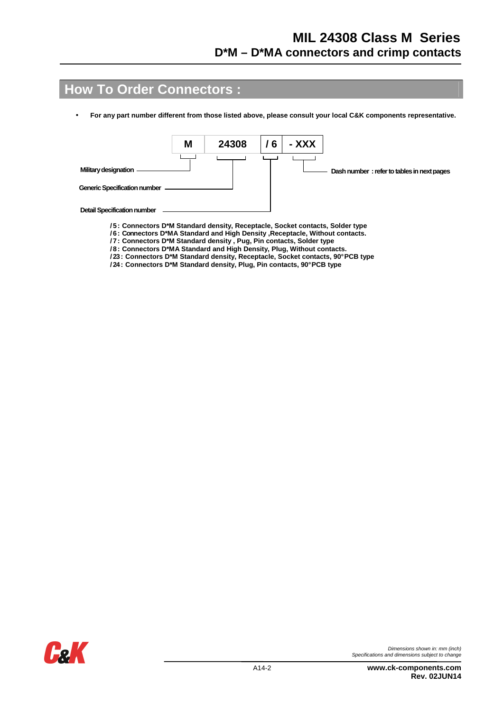## **How To Order Connectors :**

• **For any part number different from those listed above, please consult your local C&K components representative.** 



- **/ 5 : Connectors D\*M Standard density, Receptacle, Socket contacts, Solder type**
- **/ 6 : Connectors D\*MA Standard and High Density ,Receptacle, Without contacts.**
- **/ 7 : Connectors D\*M Standard density , Pug, Pin contacts, Solder type**
- **/ 8 : Connectors D\*MA Standard and High Density, Plug, Without contacts.**
- **/ 23 : Connectors D\*M Standard density, Receptacle, Socket contacts, 90° PCB type**
- **/ 24 : Connectors D\*M Standard density, Plug, Pin contacts, 90° PCB type**



Dimensions shown in: mm (inch) Specifications and dimensions subject to change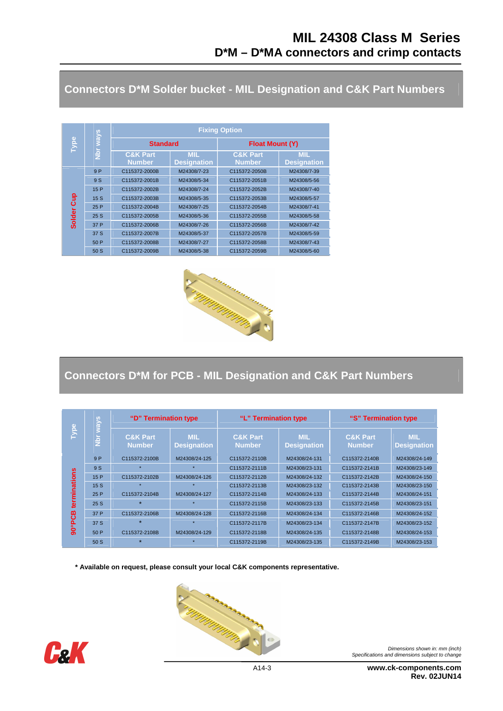**Connectors D\*M Solder bucket - MIL Designation and C&K Part Numbers** 

|               |               | <b>Fixing Option</b>                 |                                  |                                      |                                  |  |  |  |  |  |  |
|---------------|---------------|--------------------------------------|----------------------------------|--------------------------------------|----------------------------------|--|--|--|--|--|--|
| <b>Type</b>   | <u>s</u> /tew | <b>Standard</b>                      |                                  | <b>Float Mount (Y)</b>               |                                  |  |  |  |  |  |  |
|               | $rac{1}{2}$   | <b>C&amp;K Part</b><br><b>Number</b> | <b>MIL</b><br><b>Designation</b> | <b>C&amp;K Part</b><br><b>Number</b> | <b>MIL</b><br><b>Designation</b> |  |  |  |  |  |  |
|               | 9P            | C115372-2000B                        | M24308/7-23                      | C115372-2050B                        | M24308/7-39                      |  |  |  |  |  |  |
|               | 9 S           | C115372-2001B                        | M24308/5-34                      | C115372-2051B                        | M24308/5-56                      |  |  |  |  |  |  |
|               | 15 P          | C115372-2002B                        | M24308/7-24                      | C115372-2052B                        | M24308/7-40                      |  |  |  |  |  |  |
| <b>Gup</b>    | 15S           | C115372-2003B                        | M24308/5-35                      | C115372-2053B                        | M24308/5-57                      |  |  |  |  |  |  |
|               | 25 P          | C115372-2004B                        | M24308/7-25                      | C115372-2054B                        | M24308/7-41                      |  |  |  |  |  |  |
| <b>Solder</b> | 25S           | C115372-2005B                        | M24308/5-36                      | C115372-2055B                        | M24308/5-58                      |  |  |  |  |  |  |
|               | 37 P          | C115372-2006B                        | M24308/7-26                      | C115372-2056B                        | M24308/7-42                      |  |  |  |  |  |  |
|               | 37 S          | C115372-2007B                        | M24308/5-37                      | C115372-2057B                        | M24308/5-59                      |  |  |  |  |  |  |
|               | 50 P          | C115372-2008B                        | M24308/7-27                      | C115372-2058B                        | M24308/7-43                      |  |  |  |  |  |  |
|               | 50 S          | C115372-2009B                        | M24308/5-38                      | C115372-2059B                        | M24308/5-60                      |  |  |  |  |  |  |



### **Connectors D\*M for PCB - MIL Designation and C&K Part Numbers**

|          | ways          | "D" Termination type                 |                                  | "L" Termination type                 |                                  | "S" Termination type                 |                                  |  |
|----------|---------------|--------------------------------------|----------------------------------|--------------------------------------|----------------------------------|--------------------------------------|----------------------------------|--|
| Type     | $\frac{5}{2}$ | <b>C&amp;K Part</b><br><b>Number</b> | <b>MIL</b><br><b>Designation</b> | <b>C&amp;K Part</b><br><b>Number</b> | <b>MIL</b><br><b>Designation</b> | <b>C&amp;K Part</b><br><b>Number</b> | <b>MIL</b><br><b>Designation</b> |  |
|          | 9P            | C115372-2100B                        | M24308/24-125                    | C115372-2110B                        | M24308/24-131                    | C115372-2140B                        | M24308/24-149                    |  |
|          | 9S            |                                      |                                  | C115372-2111B                        | M24308/23-131                    | C115372-2141B                        | M24308/23-149                    |  |
| hations  | 15P           | C115372-2102B                        | M24308/24-126                    | C115372-2112B                        | M24308/24-132                    | C115372-2142B                        | M24308/24-150                    |  |
|          | 15S           |                                      |                                  | C115372-2113B                        | M24308/23-132                    | C115372-2143B                        | M24308/23-150                    |  |
|          | 25 P          | C115372-2104B                        | M24308/24-127                    | C115372-2114B                        | M24308/24-133                    | C115372-2144B                        | M24308/24-151                    |  |
| ක        | 25S           | 士                                    |                                  | C115372-2115B                        | M24308/23-133                    | C115372-2145B                        | M24308/23-151                    |  |
| පී       | 37 P          | C115372-2106B                        | M24308/24-128                    | C115372-2116B                        | M24308/24-134                    | C115372-2146B                        | M24308/24-152                    |  |
| $\Omega$ | 37 S          | $\star$                              |                                  | C115372-2117B                        | M24308/23-134                    | C115372-2147B                        | M24308/23-152                    |  |
| ğ        | 50P           | C115372-2108B                        | M24308/24-129                    | C115372-2118B                        | M24308/24-135                    | C115372-2148B                        | M24308/24-153                    |  |
|          | 50 S          | $\star$                              |                                  | C115372-2119B                        | M24308/23-135                    | C115372-2149B                        | M24308/23-153                    |  |

**\* Available on request, please consult your local C&K components representative.** 





Dimensions shown in: mm (inch) Specifications and dimensions subject to change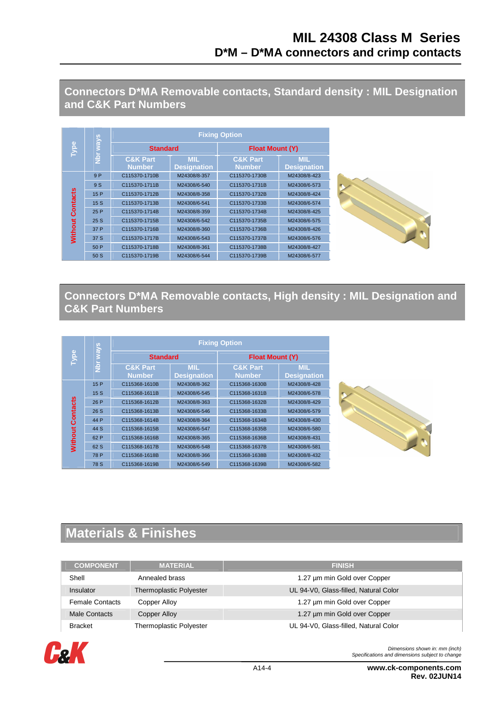**Connectors D\*MA Removable contacts, Standard density : MIL Designation and C&K Part Numbers** 

|                | ways        | <b>Fixing Option</b>                 |                                  |                                      |                                  |  |  |  |  |
|----------------|-------------|--------------------------------------|----------------------------------|--------------------------------------|----------------------------------|--|--|--|--|
| Type           |             | <b>Standard</b>                      |                                  | <b>Float Mount (Y)</b>               |                                  |  |  |  |  |
|                | $rac{b}{2}$ | <b>C&amp;K Part</b><br><b>Number</b> | <b>MIL</b><br><b>Designation</b> | <b>C&amp;K Part</b><br><b>Number</b> | <b>MIL</b><br><b>Designation</b> |  |  |  |  |
|                | 9P          | C115370-1710B                        | M24308/8-357                     | C115370-1730B                        | M24308/8-423                     |  |  |  |  |
|                | 9 S         | C115370-1711B                        | M24308/6-540                     | C115370-1731B                        | M24308/6-573                     |  |  |  |  |
| ntacts         | 15P         | C115370-1712B                        | M24308/8-358                     | C115370-1732B                        | M24308/8-424                     |  |  |  |  |
|                | 15S         | C115370-1713B                        | M24308/6-541                     | C115370-1733B                        | M24308/6-574                     |  |  |  |  |
| ဒ္ပြ           | 25 P        | C115370-1714B                        | M24308/8-359                     | C115370-1734B                        | M24308/8-425                     |  |  |  |  |
|                | 25S         | C115370-1715B                        | M24308/6-542                     | C115370-1735B                        | M24308/6-575                     |  |  |  |  |
| <b>Without</b> | 37 P        | C115370-1716B                        | M24308/8-360                     | C115370-1736B                        | M24308/8-426                     |  |  |  |  |
|                | 37 S        | C115370-1717B                        | M24308/6-543                     | C115370-1737B                        | M24308/6-576                     |  |  |  |  |
|                | 50 P        | C115370-1718B                        | M24308/8-361                     | C115370-1738B                        | M24308/8-427                     |  |  |  |  |
|                | 50S         | C115370-1719B                        | M24308/6-544                     | C115370-1739B                        | M24308/6-577                     |  |  |  |  |

### **Connectors D\*MA Removable contacts, High density : MIL Designation and C&K Part Numbers**

|                 |           | <b>Fixing Option</b>                 |                                  |                                      |                                  |  |  |  |  |  |  |
|-----------------|-----------|--------------------------------------|----------------------------------|--------------------------------------|----------------------------------|--|--|--|--|--|--|
| Type            | ways      | <b>Standard</b>                      |                                  | <b>Float Mount (Y)</b>               |                                  |  |  |  |  |  |  |
|                 | <u>br</u> | <b>C&amp;K Part</b><br><b>Number</b> | <b>MIL</b><br><b>Designation</b> | <b>C&amp;K Part</b><br><b>Number</b> | <b>MIL</b><br><b>Designation</b> |  |  |  |  |  |  |
|                 | 15P       | C115368-1610B                        | M24308/8-362                     | C115368-1630B                        | M24308/8-428                     |  |  |  |  |  |  |
|                 | 15S       | C115368-1611B                        | M24308/6-545                     | C115368-1631B                        | M24308/6-578                     |  |  |  |  |  |  |
| <b>Contacts</b> | 26 P      | C115368-1612B                        | M24308/8-363                     | C115368-1632B                        | M24308/8-429                     |  |  |  |  |  |  |
|                 | 26 S      | C115368-1613B                        | M24308/6-546                     | C115368-1633B                        | M24308/6-579                     |  |  |  |  |  |  |
|                 | 44 P      | C115368-1614B                        | M24308/8-364                     | C115368-1634B                        | M24308/8-430                     |  |  |  |  |  |  |
|                 | 44 S      | C115368-1615B                        | M24308/6-547                     | C115368-1635B                        | M24308/6-580                     |  |  |  |  |  |  |
| Without         | 62 P      | C115368-1616B                        | M24308/8-365                     | C115368-1636B                        | M24308/8-431                     |  |  |  |  |  |  |
|                 | 62 S      | C115368-1617B                        | M24308/6-548                     | C115368-1637B                        | M24308/6-581                     |  |  |  |  |  |  |
|                 | 78 P      | C115368-1618B                        | M24308/8-366                     | C115368-1638B                        | M24308/8-432                     |  |  |  |  |  |  |
|                 | 78 S      | C115368-1619B                        | M24308/6-549                     | C115368-1639B                        | M24308/6-582                     |  |  |  |  |  |  |



# **Materials & Finishes**

| <b>COMPONENT</b>       | <b>MATERIAL</b>         | <b>FINISH</b>                         |
|------------------------|-------------------------|---------------------------------------|
| Shell                  | Annealed brass          | 1.27 µm min Gold over Copper          |
| Insulator              | Thermoplastic Polyester | UL 94-V0, Glass-filled, Natural Color |
| <b>Female Contacts</b> | Copper Alloy            | 1.27 um min Gold over Copper          |
| Male Contacts          | <b>Copper Alloy</b>     | 1.27 um min Gold over Copper          |
| <b>Bracket</b>         | Thermoplastic Polyester | UL 94-V0, Glass-filled, Natural Color |

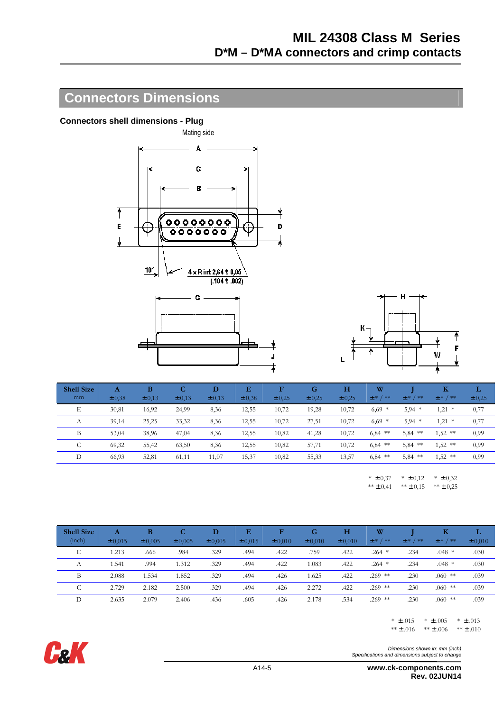## **Connectors Dimensions**

#### **Connectors shell dimensions - Plug**





| <b>Shell Size</b> | A      | B          | C          | D          | Е          | F      | G      | н      | W          |               | $\bf K$    | L      |
|-------------------|--------|------------|------------|------------|------------|--------|--------|--------|------------|---------------|------------|--------|
| mm                | ± 0,38 | $\pm 0.13$ | $\pm 0.13$ | $\pm 0.13$ | $\pm 0.38$ | ± 0,25 | ± 0,25 | ± 0,25 | $± * / **$ | **<br>$\pm$ * | $± * / **$ | ± 0,25 |
| Е                 | 30,81  | 16,92      | 24,99      | 8,36       | 12,55      | 10,72  | 19,28  | 10,72  | $6,69$ *   | $5,94$ *      | 1,21<br>*  | 0,77   |
| А                 | 39,14  | 25,25      | 33,32      | 8,36       | 12,55      | 10,72  | 27,51  | 10,72  | $6,69$ *   | $5,94$ *      | 1,21<br>*  | 0,77   |
| B                 | 53,04  | 38,96      | 47,04      | 8,36       | 12,55      | 10,82  | 41,28  | 10,72  | $6,84$ **  | 5,84<br>**    | $1,52$ **  | 0,99   |
| C                 | 69,32  | 55,42      | 63,50      | 8,36       | 12,55      | 10,82  | 57,71  | 10,72  | $6,84$ **  | $5,84$ **     | $1,52$ **  | 0,99   |
| D                 | 66,93  | 52,81      | 61,11      | 11,07      | 15,37      | 10,82  | 55,33  | 13,57  | $6,84$ **  | 5,84<br>**    | $1,52$ **  | 0,99   |
|                   |        |            |            |            |            |        |        |        |            |               |            |        |

 $*$   $\pm$  0,37  $** \pm 0,41$  $*$  ± 0,12  $*** \pm 0,15$  $*$  ± 0,32  $** \pm 0,25$ 

| <b>Shell Size</b><br>(inch) | A<br>± 0,015 | в<br>$\pm 0.005$ | C<br>± 0,005 | D<br>± 0,005 | Е<br>± 0,015 | F<br>$\pm 0.010$ | G<br>$\pm 0.010$ | H<br>$\pm 0.010$ | W<br>$± * / * *$ | / **<br>$\pm *$ | Κ<br>$± * / * *$ | L<br>$\pm 0.010$ |
|-----------------------------|--------------|------------------|--------------|--------------|--------------|------------------|------------------|------------------|------------------|-----------------|------------------|------------------|
| Е                           | .213         | .666             | .984         | .329         | .494         | .422             | .759             | .422             | $.264$ *         | .234            | $.048*$          | .030             |
| А                           | 1.541        | .994             | 1.312        | .329         | .494         | .422             | 1.083            | .422             | $.264$ *         | .234            | $.048*$          | .030             |
| B                           | 2.088        | .534             | 1.852        | .329         | .494         | .426             | 1.625            | .422             | $.269$ **        | .230            | $.060$ **        | .039             |
| U                           | 2.729        | 2.182            | 2.500        | .329         | .494         | .426             | 2.272            | .422             | $.269$ **        | .230            | $.060$ **        | .039             |
|                             | 2.635        | 2.079            | 2.406        | .436         | .605         | .426             | 2.178            | .534             | $.269$ **        | .230            | $.060$ **        | .039             |

 $* \pm .015$   $* \pm .005$   $* \pm .013$ \*\*  $\pm$  .016 \*\*  $\pm$  .006 \*\*  $\pm$  .010

Dimensions shown in: mm (inch) Specifications and dimensions subject to change



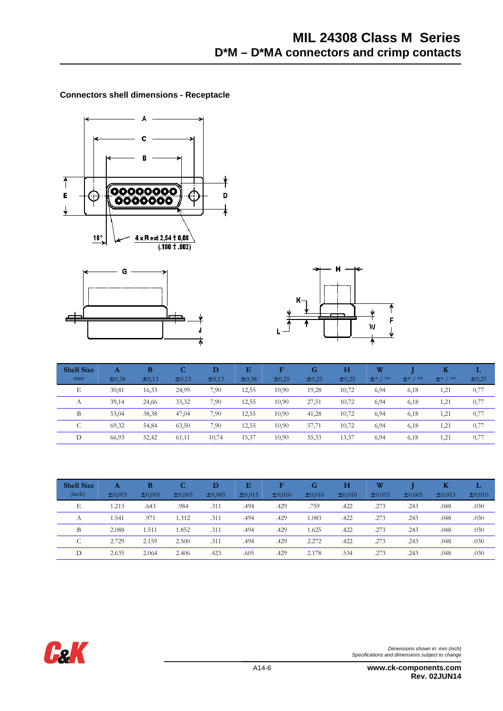#### **Connectors shell dimensions - Receptacle**







| <b>Shell Size</b> | A          | в          | $\mathbf C$ | D          | Е          | F      | G      | н      | W       |               | Κ           | L          |
|-------------------|------------|------------|-------------|------------|------------|--------|--------|--------|---------|---------------|-------------|------------|
| mm                | $\pm 0.38$ | $\pm 0.13$ | $\pm 0.13$  | $\pm 0.13$ | $\pm 0.38$ | ± 0,25 | ± 0,25 | ± 0,25 | $±*/**$ | **<br>$\pm *$ | $± * / * *$ | $\pm 0.25$ |
| Е                 | 30,81      | 16,33      | 24,99       | 7,90       | 12,55      | 10,90  | 19,28  | 10,72  | 6,94    | 6,18          | 1,21        | 0,77       |
| $\Lambda$         | 39,14      | 24,66      | 33,32       | 7,90       | 12,55      | 10,90  | 27,51  | 10,72  | 6,94    | 6,18          | 1,21        | 0,77       |
| B                 | 53,04      | 38,38      | 47,04       | 7,90       | 12,55      | 10,90  | 41,28  | 10,72  | 6,94    | 6,18          | 1,21        | 0,77       |
| ◡                 | 69,32      | 54,84      | 63,50       | 7,90       | 12,55      | 10,90  | 57,71  | 10,72  | 6,94    | 6,18          | 1,21        | 0,77       |
|                   | 66,93      | 52,42      | 61,11       | 10,74      | 15,37      | 10,90  | 55,33  | 13,57  | 6,94    | 6,18          | 1,21        | 0,77       |

| <b>Shell Size</b><br>(inch) | A<br>± 0,015 | B<br>$\pm 0.005$ | C<br>± 0,005 | D<br>± 0,005 | Е<br>± 0,015 | F<br>$\pm 0.010$ | G<br>$\pm 0.010$ | н<br>$\pm 0.010$ | W<br>± 0.015 | $\pm 0.005$ | Κ<br>$\pm 0.013$ | L<br>± 0,010 |
|-----------------------------|--------------|------------------|--------------|--------------|--------------|------------------|------------------|------------------|--------------|-------------|------------------|--------------|
| Е                           | .213         | .643             | .984         | .311         | .494         | .429             | .759             | .422             | .273         | .243        | .048             | .030         |
| А                           | .541         | .971             | 1.312        | .311         | .494         | .429             | 1.083            | .422             | .273         | .243        | .048             | .030         |
| B                           | 2.088        | 1.511            | 1.852        | .311         | .494         | .429             | 1.625            | .422             | .273         | .243        | .048             | .030         |
| $\sqrt{2}$<br>◡             | 2.729        | 2.159            | 2.500        | .311         | .494         | .429             | 2.272            | .422             | .273         | .243        | .048             | .030         |
| D                           | 2.635        | 2.064            | 2.406        | .423         | .605         | .429             | 2.178            | .534             | .273         | .243        | .048             | .030         |

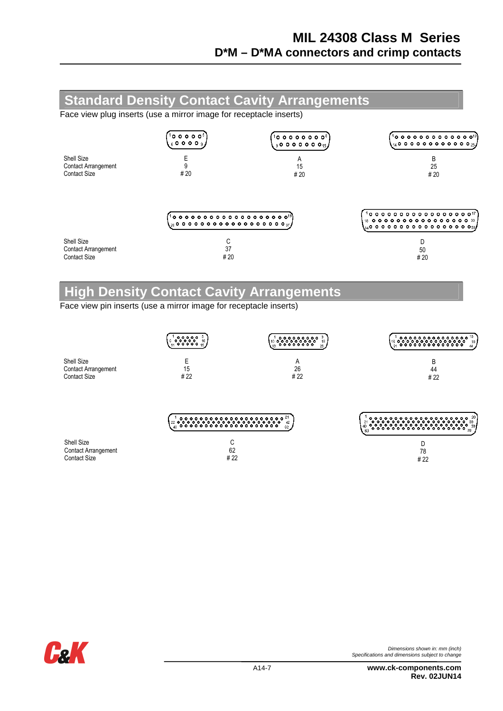#### **Standard Density Contact Cavity Arrangements**  Face view plug inserts (use a mirror image for receptacle inserts)  $100000$  $100000000$  $1$ o o o o o o o o o o o o $\approx$  $600009$  $14$ 000000000000 $25$  $90000000015$ Shell Size E A B

|                                                                 | $^{\prime\prime}$ to a a a a a a a a a a a a a a a a a $^{\prime\prime}\,$<br>$\chi_{20}$ o o o o o o o o o o o o o o o o $_{37}f$ | $1$ o o o o o o o o o o o o o o o o $17$<br>$\frac{18}{18}$ . $\bullet$ . $\bullet$ . $\bullet$ . $\bullet$ . $\bullet$ . $\bullet$ . $\bullet$ . $\bullet$ . $\bullet$ . $\bullet$ . $\bullet$ . $\bullet$ . $\bullet$ .<br>$\mathbf{I}_{\text{S4}}$ o o o o o o o o o o o o o o s $_\text{S0}$ |
|-----------------------------------------------------------------|------------------------------------------------------------------------------------------------------------------------------------|--------------------------------------------------------------------------------------------------------------------------------------------------------------------------------------------------------------------------------------------------------------------------------------------------|
| Shell Size<br><b>Contact Arrangement</b><br><b>Contact Size</b> | # 20                                                                                                                               | 50<br># 20                                                                                                                                                                                                                                                                                       |

15  $# 20$ 

# **High Density Contact Cavity Arrangements**

Face view pin inserts (use a mirror image for receptacle inserts)

9  $# 20$ 

Contact Arrangement Contact Size

|                            | (1 <b>00000</b> 1)<br>(11 <b>00000</b> 1)<br>10 <sub>1</sub> | 18<br>26. | ' ०,०,०,०,०,०,०,०,०,०,<br>' ०,०,०,०,०,०,०,०,०,०,०,०,<br>' ०,०,०,०,०,०,०,०,०,०,<br>$\circ \circ \circ$<br>16<br>30<br>$^{\circ}$<br>31 |
|----------------------------|--------------------------------------------------------------|-----------|---------------------------------------------------------------------------------------------------------------------------------------|
| Shell Size                 | E                                                            | A         | B                                                                                                                                     |
| <b>Contact Arrangement</b> | 15                                                           | 26        | 44                                                                                                                                    |
| <b>Contact Size</b>        | # 22                                                         | #22       | # 22                                                                                                                                  |
|                            | $\circ \circ \circ$<br>22 O O<br>43                          | 42<br>62  | <u>ွဲ၀ွဲ၀ွဲ၀ွဲ</u> ၀ွဲ<br>۰<br>60                                                                                                     |
| Shell Size                 | С                                                            |           | D                                                                                                                                     |
| <b>Contact Arrangement</b> | 62                                                           |           | 78                                                                                                                                    |
| <b>Contact Size</b>        | # 22                                                         |           | #22                                                                                                                                   |



25 # 20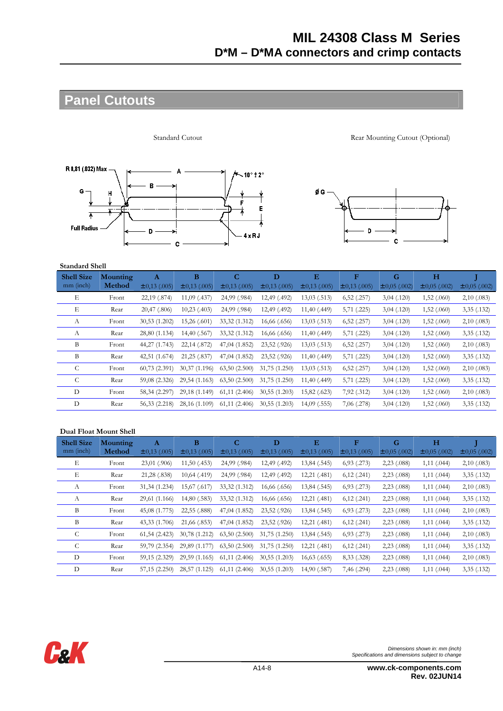# **Panel Cutouts**



Standard Cutout Rear Mounting Cutout (Optional)



#### **Standard Shell**

| <b>Shell Size</b> | Mounting | Α                 | В                 | C                 | D                 | Е                 | F                 | G                 | н                 |                   |
|-------------------|----------|-------------------|-------------------|-------------------|-------------------|-------------------|-------------------|-------------------|-------------------|-------------------|
| mm (inch)         | Method   | $\pm 0.13$ (.005) | $\pm 0.13$ (.005) | $\pm 0,13$ (.005) | $\pm$ 0,13 (.005) | $\pm 0.13$ (.005) | $\pm 0.13$ (.005) | $\pm 0.05$ (.002) | $\pm 0.05$ (.002) | $\pm 0.05$ (.002) |
| Е                 | Front    | 22,19 (.874)      | $11,09$ (.437)    | 24,99 (.984)      | 12,49 (.492)      | 13,03(.513)       | 6,52(.257)        | 3,04(0.120)       | 1,52(.060)        | 2,10(.083)        |
| E                 | Rear     | 20,47(.806)       | $10,23$ (.403)    | 24,99 (.984)      | 12,49 (.492)      | 11,40 (.449)      | 5,71 (.225)       | 3,04(0.120)       | 1,52(.060)        | 3,35(0.132)       |
| А                 | Front    | 30,53(1.202)      | 15,26(.601)       | 33,32 (1.312)     | 16,66(.656)       | 13,03(.513)       | 6,52(.257)        | 3,04(0.120)       | 1,52(.060)        | 2,10(.083)        |
| $\mathbf{A}$      | Rear     | 28,80 (1.134)     | 14,40 (.567)      | 33,32 (1.312)     | 16,66(.656)       | 11,40(.449)       | 5,71(.225)        | 3,04(0.120)       | 1,52(.060)        | 3,35(0.132)       |
| B                 | Front    | 44,27 (1.743)     | 22,14 (.872)      | 47,04 (1.852)     | 23,52 (.926)      | 13,03(.513)       | 6,52(.257)        | 3,04(.120)        | 1,52(.060)        | 2,10(.083)        |
| B                 | Rear     | 42,51 (1.674)     | 21,25 (.837)      | 47,04 (1.852)     | 23,52 (.926)      | 11,40(.449)       | 5,71(.225)        | 3,04(.120)        | 1,52(.060)        | 3,35(0.132)       |
| C                 | Front    | 60,73(2.391)      | 30,37 (1.196)     | 63,50(2.500)      | 31,75(1.250)      | 13,03(.513)       | 6,52(.257)        | 3,04(0.120)       | 1,52(.060)        | 2,10(.083)        |
| C                 | Rear     | 59,08 (2.326)     | 29,54 (1.163)     | 63,50(2.500)      | 31,75 (1.250)     | 11,40 (.449)      | 5,71 (.225)       | 3,04(.120)        | 1,52(.060)        | 3,35(.132)        |
| D                 | Front    | 58,34 (2.297)     | 29,18 (1.149)     | 61,11(2.406)      | 30,55(1.203)      | 15,82 (.623)      | 7,92 (.312)       | 3,04(.120)        | 1,52(.060)        | 2,10(.083)        |
| D                 | Rear     | 56,33 (2.218)     | 28,16 (1.109)     | 61,11(2.406)      | 30,55(1.203)      | $14,09$ $(.555)$  | $7,06$ $(.278)$   | 3,04(0.120)       | 1,52(060)         | 3,35(0.132)       |
|                   |          |                   |                   |                   |                   |                   |                   |                   |                   |                   |

#### **Dual Float Mount Shell**

| <b>Shell Size</b> | Mounting | A                 | B                 | C                 | D                 | E                 | F                 | G                 | $\mathbf H$       |                   |
|-------------------|----------|-------------------|-------------------|-------------------|-------------------|-------------------|-------------------|-------------------|-------------------|-------------------|
| mm (inch)         | Method   | $\pm$ 0,13 (.005) | $\pm$ 0,13 (.005) | $\pm 0,13$ (.005) | $\pm 0.13$ (.005) | $\pm 0,13$ (.005) | $\pm$ 0,13 (.005) | $\pm 0.05$ (.002) | $\pm 0.05$ (.002) | $\pm 0,05$ (.002) |
| Е                 | Front    | 23,01 (.906)      | 11,50(.453)       | 24,99 (.984)      | 12,49 (.492)      | 13,84 (.545)      | $6,93$ $(.273)$   | $2,23$ (.088)     | $1,11$ (.044)     | 2,10(.083)        |
| Е                 | Rear     | 21,28 (.838)      | $10,64$ (.419)    | 24,99 (.984)      | 12,49 (.492)      | 12,21 (.481)      | 6,12(.241)        | $2,23$ (.088)     | $1,11$ (.044)     | 3,35(0.132)       |
| А                 | Front    | 31,34 (1.234)     | 15,67 (.617)      | 33,32 (1.312)     | 16,66 (.656)      | 13,84 (.545)      | 6,93(.273)        | $2,23$ $(.088)$   | 1,11(.044)        | 2,10(.083)        |
| А                 | Rear     | 29,61 (1.166)     | 14,80 (.583)      | 33,32 (1.312)     | 16,66 (.656)      | 12,21 (.481)      | 6,12(.241)        | $2,23$ (.088)     | 1,11(.044)        | 3,35(.132)        |
| B                 | Front    | 45,08 (1.775)     | 22,55 (.888)      | 47,04 (1.852)     | 23,52 (.926)      | 13,84 (.545)      | $6,93$ $(.273)$   | $2,23$ (.088)     | 1,11(.044)        | 2,10(.083)        |
| B                 | Rear     | 43,33 (1.706)     | 21,66 (.853)      | 47,04 (1.852)     | 23,52 (.926)      | 12,21 (.481)      | 6,12(.241)        | $2,23$ (.088)     | 1,11(.044)        | 3,35(0.132)       |
| C                 | Front    | 61,54(2.423)      | 30,78 (1.212)     | 63,50(2.500)      | 31,75(1.250)      | 13,84 (.545)      | $6,93$ $(.273)$   | $2,23$ (.088)     | 1,11(.044)        | 2,10(.083)        |
| C                 | Rear     | 59,79 (2.354)     | 29,89 (1.177)     | 63,50(2.500)      | 31,75 (1.250)     | 12,21 (.481)      | 6,12(.241)        | $2,23$ (.088)     | 1,11(.044)        | 3,35(0.132)       |
| D                 | Front    | 59,15 (2.329)     | 29,59 (1.165)     | 61,11(2.406)      | 30,55(1.203)      | 16,63(.655)       | 8,33 (.328)       | $2,23$ (.088)     | 1,11(.044)        | 2,10(.083)        |
| D                 | Rear     | 57,15(2.250)      | 28,57<br>(1.125)  | 61,11(2.406)      | 30,55(1.203)      | 14,90 (.587)      | 7,46 (.294)       | $2,23$ (.088)     | 1,11(.044)        | 3,35(.132)        |

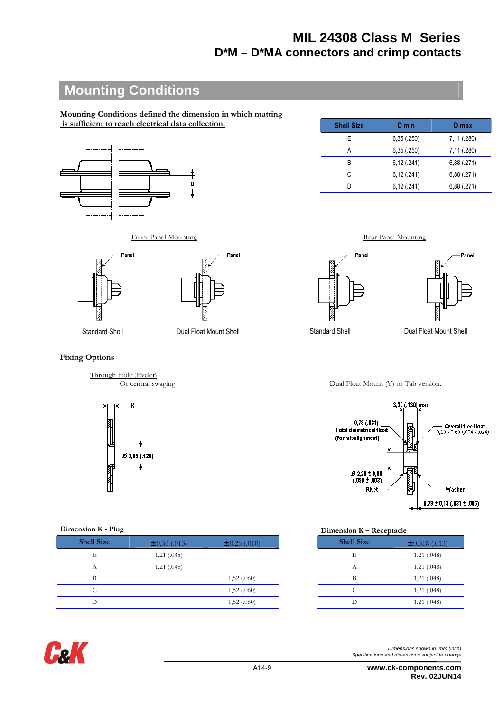# **Mounting Conditions**

**Mounting Conditions defined the dimension in which matting is sufficient to reach electrical data collection.**



| <b>Shell Size</b> | D min      | D max       |
|-------------------|------------|-------------|
| E                 | 6,35(.250) | 7,11 (.280) |
| А                 | 6,35(.250) | 7,11 (.280) |
| B                 | 6,12(.241) | 6,88(.271)  |
| C                 | 6,12(.241) | 6,88(.271)  |
| n                 | 6,12(.241) | 6,88(.271)  |
|                   |            |             |

Front Panel Mounting Rear Panel Mounting





#### **Fixing Options**

Through Hole (Eyelet)<br>Or central swaging



| <b>Shell Size</b> | $\pm 0.33$ (.013) | $\pm 0,25(0.010)$ | <b>Shell Size</b> | $\pm$ 0,318 (.013) |
|-------------------|-------------------|-------------------|-------------------|--------------------|
| Е                 | 1,21(.048)        |                   | Е                 | 1,21 (.048)        |
| $\Lambda$         | 1,21(.048)        |                   | А                 | 1,21 (.048)        |
| В                 |                   | 1,52(060)         | B                 | 1,21 (.048)        |
| U.                |                   | 1,52(.060)        | ╰                 | 1,21 (.048)        |
|                   |                   | 1,52 (.060)       |                   | 1,21 (.048)        |



| Dimensions shown in m |  |
|-----------------------|--|

Dimensions shown in: mm (inch) Specifications and dimensions subject to change

Panel



Standard Shell **Dual Float Mount Shell** Standard Shell **Dual Float Mount Shell** Standard Shell **Dual Float Mount Shell** 

Dual Float Mount (Y) or Tab version.



### **Dimension K - Plug Dimension K – Receptacle**

| <b>Shell Size</b> | $\pm$ 0,318 (.013) |
|-------------------|--------------------|
| E                 | 1,21(.048)         |
| A                 | 1,21(.048)         |
| В                 | 1,21(.048)         |
| C                 | 1,21(.048)         |
|                   | 1,21(.048)         |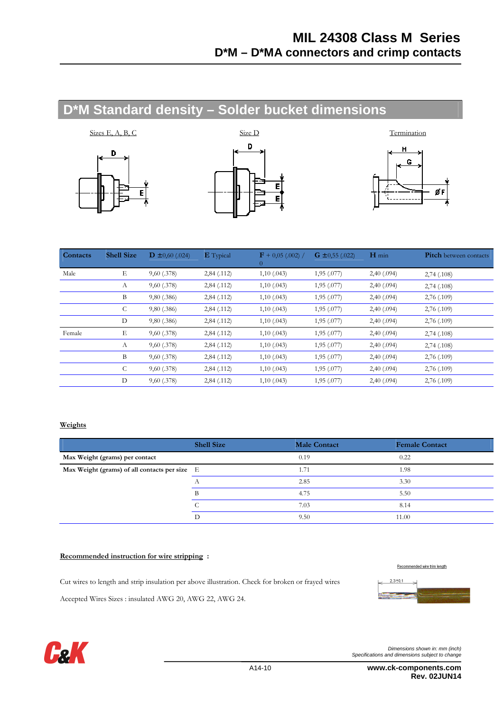# **D\*M Standard density – Solder bucket dimensions**







| Contacts | <b>Shell Size</b> | $\mathbf{D} \pm 0.60$ (.024) | <b>E</b> Typical | $\mathbf{F}$ + 0,05 (.002) /<br>$\theta$ | $\mathbf{G} \pm 0.55$ (.022) | $H$ min    | Pitch between contacts |
|----------|-------------------|------------------------------|------------------|------------------------------------------|------------------------------|------------|------------------------|
| Male     | E                 | 9,60(.378)                   | 2,84(.112)       | 1,10(.043)                               | 1,95 (.077)                  | 2,40(.094) | 2,74(.108)             |
|          | А                 | 9,60(.378)                   | 2,84(.112)       | 1,10(.043)                               | 1,95(.077)                   | 2,40(.094) | 2,74(.108)             |
|          | B                 | 9,80(.386)                   | 2,84(.112)       | 1,10(.043)                               | 1,95(.077)                   | 2,40(.094) | 2,76(.109)             |
|          | C                 | 9,80(.386)                   | 2,84(.112)       | 1,10(.043)                               | 1,95(.077)                   | 2,40(.094) | 2,76(0.109)            |
|          | D                 | 9,80(.386)                   | 2,84(.112)       | 1,10(.043)                               | 1,95(.077)                   | 2,40(.094) | 2,76(.109)             |
| Female   | E                 | 9,60(.378)                   | 2,84(.112)       | 1,10(.043)                               | 1,95(.077)                   | 2,40(.094) | 2,74(.108)             |
|          | А                 | 9,60(.378)                   | 2,84(.112)       | 1,10(.043)                               | 1,95(.077)                   | 2,40(.094) | 2,74(.108)             |
|          | B                 | $9,60$ (.378)                | 2,84(.112)       | 1,10(.043)                               | 1,95(.077)                   | 2,40(.094) | 2,76(0.109)            |
|          | C                 | $9,60$ (.378)                | 2,84(.112)       | 1,10(.043)                               | 1,95(.077)                   | 2,40(.094) | 2,76(.109)             |
|          | D                 | 9,60(.378)                   | 2,84(.112)       | 1,10(.043)                               | 1,95 (.077)                  | 2,40(.094) | 2,76(.109)             |

#### **Weights**

|                                               | <b>Shell Size</b> | <b>Male Contact</b> | <b>Female Contact</b> |
|-----------------------------------------------|-------------------|---------------------|-----------------------|
| Max Weight (grams) per contact                |                   | 0.19                | 0.22                  |
| Max Weight (grams) of all contacts per size E |                   | 1.71                | 1.98                  |
|                                               |                   | 2.85                | 3.30                  |
|                                               | B                 | 4.75                | 5.50                  |
|                                               |                   | 7.03                | 8.14                  |
|                                               |                   | 9.50                | 11.00                 |

#### **Recommended instruction for wire stripping :**

Cut wires to length and strip insulation per above illustration. Check for broken or frayed wires

Accepted Wires Sizes : insulated AWG 20, AWG 22, AWG 24.



Recommended wire trim length



Dimensions shown in: mm (inch) Specifications and dimensions subject to change

 A14-10 **www.ck-components.com Rev. 02JUN14**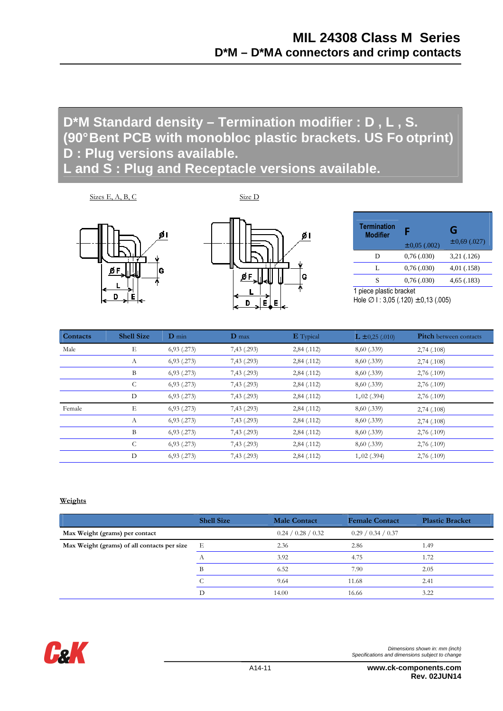# **D\*M Standard density – Termination modifier : D , L , S. (90° Bent PCB with monobloc plastic brackets. US Fo otprint) D : Plug versions available.**

**L and S : Plug and Receptacle versions available.** 

 $\angle$ Sizes E, A, B, C  $\angle$  Size D

D

øι

١G

ØF

h

F

| <b>Termination</b><br><b>Modifier</b> | Е<br>$\pm 0.05$ (.002) | G<br>$\pm 0.69$ (.027) |
|---------------------------------------|------------------------|------------------------|
| D                                     | 0.76(.030)             | 3,21 (.126)            |
| L                                     | 0.76(.030)             | 4,01 (.158)            |
| S                                     | 0.76(.030)             | 4,65(.183)             |
| 1 nigga plastig brooket               |                        |                        |

1 piece plastic bracket Hole  $\varnothing$  I : 3,05 (.120)  $\pm$  0,13 (.005)

| Contacts | <b>Shell Size</b> | $D$ min         | $\mathbf{D}$ max | <b>E</b> Typical | $L \pm 0.25$ (.010) | <b>Pitch</b> between contacts |
|----------|-------------------|-----------------|------------------|------------------|---------------------|-------------------------------|
| Male     | Е                 | $6,93$ $(.273)$ | 7,43 (.293)      | 2,84(.112)       | 8,60 (.339)         | 2,74(.108)                    |
|          | А                 | $6,93$ $(.273)$ | 7,43 (.293)      | 2,84(.112)       | 8,60 (.339)         | 2,74(.108)                    |
|          | B                 | $6,93$ $(.273)$ | 7,43 (.293)      | 2,84(.112)       | 8,60 (.339)         | 2,76(.109)                    |
|          | C                 | $6,93$ $(.273)$ | 7,43 (.293)      | 2,84(.112)       | 8,60 (.339)         | 2,76(.109)                    |
|          | D                 | $6,93$ $(.273)$ | 7,43 (.293)      | 2,84(.112)       | 1,02(.394)          | 2,76(.109)                    |
| Female   | Е                 | $6,93$ $(.273)$ | 7,43 (.293)      | 2,84(.112)       | 8,60 (.339)         | 2,74(.108)                    |
|          | A                 | $6,93$ $(.273)$ | 7,43 (.293)      | 2,84(.112)       | 8,60 (.339)         | 2,74(.108)                    |
|          | B                 | $6,93$ $(.273)$ | 7,43 (.293)      | 2,84(.112)       | 8,60 (.339)         | 2,76(.109)                    |
|          | C                 | $6,93$ $(.273)$ | 7,43(.293)       | 2,84 (.112)      | 8,60 (.339)         | 2,76(.109)                    |
|          | D                 | $6,93$ $(.273)$ | 7,43 (.293)      | 2,84 (.112)      | 1,02(.394)          | 2,76 (.109)                   |

øι

G

#### **Weights**

|                                             | <b>Shell Size</b> | <b>Male Contact</b> | <b>Female Contact</b> | <b>Plastic Bracket</b> |
|---------------------------------------------|-------------------|---------------------|-----------------------|------------------------|
| Max Weight (grams) per contact              |                   | 0.24 / 0.28 / 0.32  | 0.29 / 0.34 / 0.37    |                        |
| Max Weight (grams) of all contacts per size | - E               | 2.36                | 2.86                  | 1.49                   |
|                                             |                   | 3.92                | 4.75                  | 1.72                   |
|                                             | B                 | 6.52                | 7.90                  | 2.05                   |
|                                             |                   | 9.64                | 11.68                 | 2.41                   |
|                                             | D                 | 14.00               | 16.66                 | 3.22                   |



 A14-11 **www.ck-components.com Rev. 02JUN14**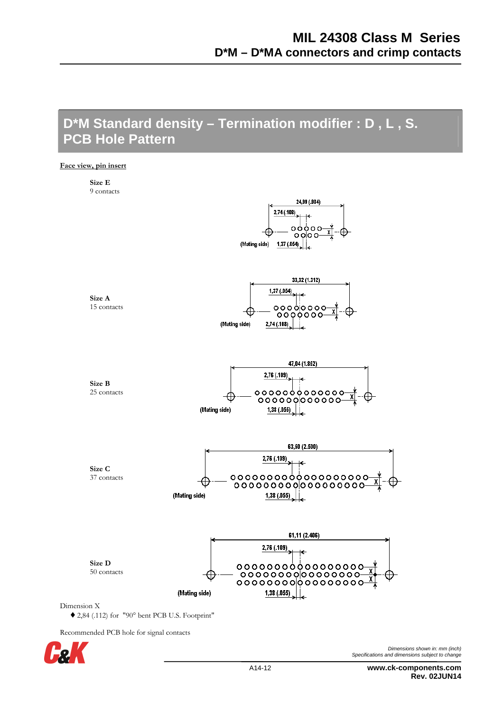## **D\*M Standard density – Termination modifier : D , L , S. PCB Hole Pattern**

**Face view, pin insert**



Recommended PCB hole for signal contacts